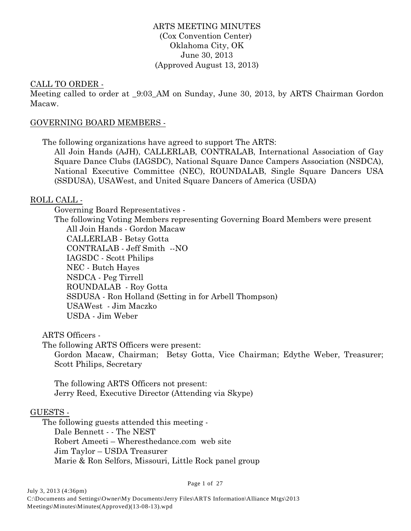### ARTS MEETING MINUTES (Cox Convention Center) Oklahoma City, OK June 30, 2013 (Approved August 13, 2013)

### CALL TO ORDER -

Meeting called to order at 9:03 AM on Sunday, June 30, 2013, by ARTS Chairman Gordon Macaw.

### GOVERNING BOARD MEMBERS -

The following organizations have agreed to support The ARTS:

All Join Hands (AJH), CALLERLAB, CONTRALAB, International Association of Gay Square Dance Clubs (IAGSDC), National Square Dance Campers Association (NSDCA), National Executive Committee (NEC), ROUNDALAB, Single Square Dancers USA (SSDUSA), USAWest, and United Square Dancers of America (USDA)

### ROLL CALL -

Governing Board Representatives -

The following Voting Members representing Governing Board Members were present

All Join Hands - Gordon Macaw CALLERLAB - Betsy Gotta CONTRALAB - Jeff Smith --NO IAGSDC - Scott Philips NEC - Butch Hayes NSDCA - Peg Tirrell ROUNDALAB - Roy Gotta SSDUSA - Ron Holland (Setting in for Arbell Thompson) USAWest - Jim Maczko USDA - Jim Weber

ARTS Officers -

The following ARTS Officers were present:

Gordon Macaw, Chairman; Betsy Gotta, Vice Chairman; Edythe Weber, Treasurer; Scott Philips, Secretary

The following ARTS Officers not present: Jerry Reed, Executive Director (Attending via Skype)

### GUESTS -

The following guests attended this meeting - Dale Bennett - - The NEST Robert Ameeti – Wheresthedance.com web site Jim Taylor – USDA Treasurer Marie & Ron Selfors, Missouri, Little Rock panel group

Page 1 of 27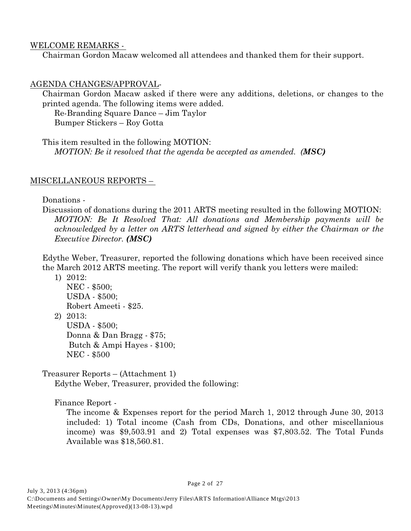### WELCOME REMARKS -

Chairman Gordon Macaw welcomed all attendees and thanked them for their support.

## AGENDA CHANGES/APPROVAL-

Chairman Gordon Macaw asked if there were any additions, deletions, or changes to the printed agenda. The following items were added.

Re-Branding Square Dance – Jim Taylor Bumper Stickers – Roy Gotta

This item resulted in the following MOTION: *MOTION: Be it resolved that the agenda be accepted as amended. (MSC)*

## MISCELLANEOUS REPORTS –

Donations -

Discussion of donations during the 2011 ARTS meeting resulted in the following MOTION: *MOTION: Be It Resolved That: All donations and Membership payments will be acknowledged by a letter on ARTS letterhead and signed by either the Chairman or the Executive Director. (MSC)*

Edythe Weber, Treasurer, reported the following donations which have been received since the March 2012 ARTS meeting. The report will verify thank you letters were mailed:

1) 2012:

NEC - \$500; USDA - \$500; Robert Ameeti - \$25.

2) 2013:

USDA - \$500;

Donna & Dan Bragg - \$75; Butch & Ampi Hayes - \$100; NEC - \$500

Treasurer Reports – (Attachment 1)

Edythe Weber, Treasurer, provided the following:

Finance Report -

The income & Expenses report for the period March 1, 2012 through June 30, 2013 included: 1) Total income (Cash from CDs, Donations, and other miscellanious income) was \$9,503.91 and 2) Total expenses was \$7,803.52. The Total Funds Available was \$18,560.81.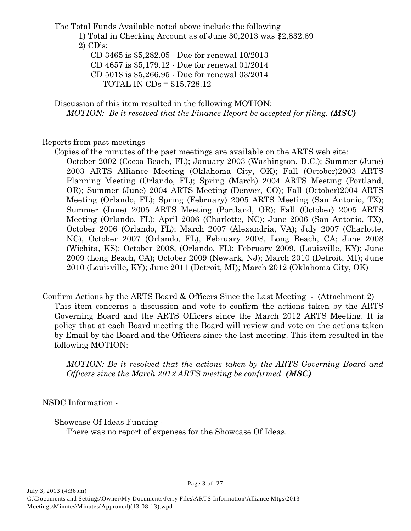The Total Funds Available noted above include the following

1) Total in Checking Account as of June 30,2013 was \$2,832.69 2) CD's:

CD 3465 is \$5,282.05 - Due for renewal 10/2013

CD 4657 is \$5,179.12 - Due for renewal 01/2014

CD 5018 is \$5,266.95 - Due for renewal 03/2014

TOTAL IN CDs = \$15,728.12

Discussion of this item resulted in the following MOTION: *MOTION: Be it resolved that the Finance Report be accepted for filing. (MSC)* 

Reports from past meetings -

- Copies of the minutes of the past meetings are available on the ARTS web site: October 2002 (Cocoa Beach, FL); January 2003 (Washington, D.C.); Summer (June) 2003 ARTS Alliance Meeting (Oklahoma City, OK); Fall (October)2003 ARTS Planning Meeting (Orlando, FL); Spring (March) 2004 ARTS Meeting (Portland, OR); Summer (June) 2004 ARTS Meeting (Denver, CO); Fall (October)2004 ARTS Meeting (Orlando, FL); Spring (February) 2005 ARTS Meeting (San Antonio, TX); Summer (June) 2005 ARTS Meeting (Portland, OR); Fall (October) 2005 ARTS Meeting (Orlando, FL); April 2006 (Charlotte, NC); June 2006 (San Antonio, TX), October 2006 (Orlando, FL); March 2007 (Alexandria, VA); July 2007 (Charlotte, NC), October 2007 (Orlando, FL), February 2008, Long Beach, CA; June 2008 (Wichita, KS); October 2008, (Orlando, FL); February 2009, (Louisville, KY); June 2009 (Long Beach, CA); October 2009 (Newark, NJ); March 2010 (Detroit, MI); June 2010 (Louisville, KY); June 2011 (Detroit, MI); March 2012 (Oklahoma City, OK)
- Confirm Actions by the ARTS Board & Officers Since the Last Meeting (Attachment 2) This item concerns a discussion and vote to confirm the actions taken by the ARTS Governing Board and the ARTS Officers since the March 2012 ARTS Meeting. It is policy that at each Board meeting the Board will review and vote on the actions taken by Email by the Board and the Officers since the last meeting. This item resulted in the following MOTION:

*MOTION: Be it resolved that the actions taken by the ARTS Governing Board and Officers since the March 2012 ARTS meeting be confirmed. (MSC)*

NSDC Information -

Showcase Of Ideas Funding -

There was no report of expenses for the Showcase Of Ideas.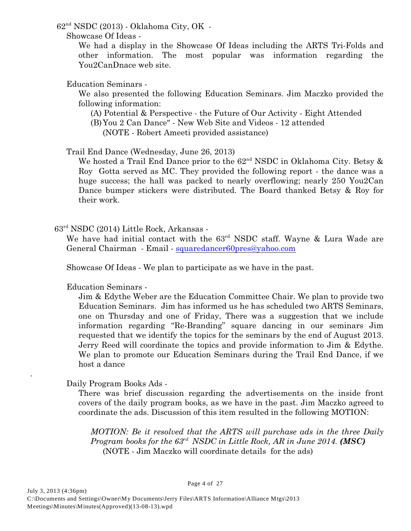$62<sup>nd</sup> NSDC (2013)$  - Oklahoma City, OK -

Showcase Of Ideas -

We had a display in the Showcase Of Ideas including the ARTS Tri-Folds and other information. The most popular was information regarding the You2CanDnace web site.

Education Seminars -

We also presented the following Education Seminars. Jim Maczko provided the following information:

(A) Potential & Perspective - the Future of Our Activity - Eight Attended

(B)You 2 Can Dance" - New Web Site and Videos - 12 attended

(NOTE - Robert Ameeti provided assistance)

Trail End Dance (Wednesday, June 26, 2013)

We hosted a Trail End Dance prior to the  $62<sup>nd</sup>$  NSDC in Oklahoma City. Betsy  $\&$ Roy Gotta served as MC. They provided the following report - the dance was a huge success; the hall was packed to nearly overflowing; nearly 250 You2Can Dance bumper stickers were distributed. The Board thanked Betsy & Roy for their work.

 $63<sup>rd</sup> NSDC (2014) Little Rock, Arkansas -$ 

We have had initial contact with the  $63<sup>rd</sup>$  NSDC staff. Wayne & Lura Wade are General Chairman - Email - [squaredancer60pres@yahoo.com](mailto:squaredancer60pres@yahoo.com)

Showcase Of Ideas - We plan to participate as we have in the past.

Education Seminars -

Jim & Edythe Weber are the Education Committee Chair. We plan to provide two Education Seminars. Jim has informed us he has scheduled two ARTS Seminars, one on Thursday and one of Friday, There was a suggestion that we include information regarding "Re-Branding" square dancing in our seminars Jim requested that we identify the topics for the seminars by the end of August 2013. Jerry Reed will coordinate the topics and provide information to Jim & Edythe. We plan to promote our Education Seminars during the Trail End Dance, if we host a dance

Daily Program Books Ads -

.

There was brief discussion regarding the advertisements on the inside front covers of the daily program books, as we have in the past. Jim Maczko agreed to coordinate the ads. Discussion of this item resulted in the following MOTION:

*MOTION: Be it resolved that the ARTS will purchase ads in the three Daily Program books for the 63<sup>rd</sup> NSDC in Little Rock, AR in June 2014.* (*MSC*) (NOTE - Jim Maczko will coordinate details for the ads)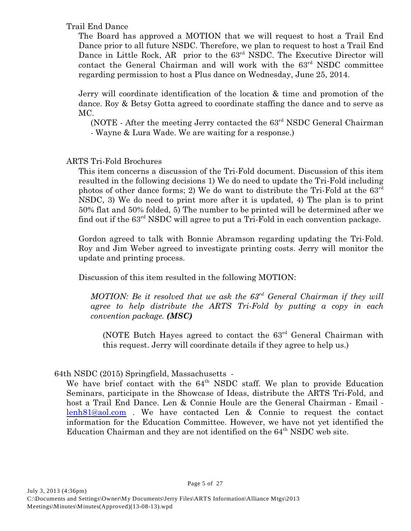### Trail End Dance

The Board has approved a MOTION that we will request to host a Trail End Dance prior to all future NSDC. Therefore, we plan to request to host a Trail End Dance in Little Rock, AR prior to the  $63<sup>rd</sup>$  NSDC. The Executive Director will contact the General Chairman and will work with the  $63<sup>rd</sup>$  NSDC committee regarding permission to host a Plus dance on Wednesday, June 25, 2014.

Jerry will coordinate identification of the location & time and promotion of the dance. Roy & Betsy Gotta agreed to coordinate staffing the dance and to serve as MC.

(NOTE - After the meeting Jerry contacted the  $63<sup>rd</sup>$  NSDC General Chairman - Wayne & Lura Wade. We are waiting for a response.)

# ARTS Tri-Fold Brochures

This item concerns a discussion of the Tri-Fold document. Discussion of this item resulted in the following decisions 1) We do need to update the Tri-Fold including photos of other dance forms; 2) We do want to distribute the Tri-Fold at the 63rd NSDC, 3) We do need to print more after it is updated, 4) The plan is to print 50% flat and 50% folded, 5) The number to be printed will be determined after we find out if the  $63<sup>rd</sup>$  NSDC will agree to put a Tri-Fold in each convention package.

Gordon agreed to talk with Bonnie Abramson regarding updating the Tri-Fold. Roy and Jim Weber agreed to investigate printing costs. Jerry will monitor the update and printing process.

Discussion of this item resulted in the following MOTION:

*MOTION: Be it resolved that we ask the 63<sup>rd</sup> General Chairman if they will agree to help distribute the ARTS Tri-Fold by putting a copy in each convention package. (MSC)*

(NOTE Butch Hayes agreed to contact the  $63<sup>rd</sup>$  General Chairman with this request. Jerry will coordinate details if they agree to help us.)

## 64th NSDC (2015) Springfield, Massachusetts -

We have brief contact with the  $64<sup>th</sup>$  NSDC staff. We plan to provide Education Seminars, participate in the Showcase of Ideas, distribute the ARTS Tri-Fold, and host a Trail End Dance. Len & Connie Houle are the General Chairman - Email [lenh81@aol.com](mailto:lenh81@aol.com) . We have contacted Len & Connie to request the contact information for the Education Committee. However, we have not yet identified the Education Chairman and they are not identified on the  $64<sup>th</sup>$  NSDC web site.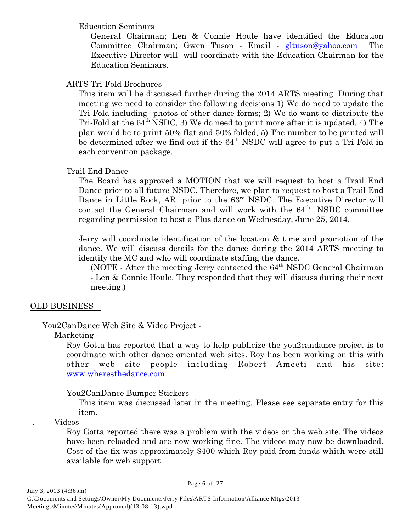### Education Seminars

General Chairman; Len & Connie Houle have identified the Education Committee Chairman; Gwen Tuson - Email - [gltuson@yahoo.com](mailto:gltuson@yahoo.com).) The Executive Director will will coordinate with the Education Chairman for the Education Seminars.

### ARTS Tri-Fold Brochures

This item will be discussed further during the 2014 ARTS meeting. During that meeting we need to consider the following decisions 1) We do need to update the Tri-Fold including photos of other dance forms; 2) We do want to distribute the Tri-Fold at the  $64<sup>th</sup> NSDC$ , 3) We do need to print more after it is updated, 4) The plan would be to print 50% flat and 50% folded, 5) The number to be printed will be determined after we find out if the  $64<sup>th</sup>$  NSDC will agree to put a Tri-Fold in each convention package.

## Trail End Dance

The Board has approved a MOTION that we will request to host a Trail End Dance prior to all future NSDC. Therefore, we plan to request to host a Trail End Dance in Little Rock, AR prior to the  $63<sup>rd</sup>$  NSDC. The Executive Director will contact the General Chairman and will work with the  $64<sup>th</sup>$  NSDC committee regarding permission to host a Plus dance on Wednesday, June 25, 2014.

Jerry will coordinate identification of the location & time and promotion of the dance. We will discuss details for the dance during the 2014 ARTS meeting to identify the MC and who will coordinate staffing the dance.

(NOTE - After the meeting Jerry contacted the  $64<sup>th</sup>$  NSDC General Chairman - Len & Connie Houle. They responded that they will discuss during their next meeting.)

## OLD BUSINESS –

## You2CanDance Web Site & Video Project -

## Marketing –

Roy Gotta has reported that a way to help publicize the you2candance project is to coordinate with other dance oriented web sites. Roy has been working on this with other web site people including Robert Ameeti and his site: [www.wheresthedance.com](http://www.wheresthedance.com)

You2CanDance Bumper Stickers -

This item was discussed later in the meeting. Please see separate entry for this item.

. Videos –

Roy Gotta reported there was a problem with the videos on the web site. The videos have been reloaded and are now working fine. The videos may now be downloaded. Cost of the fix was approximately \$400 which Roy paid from funds which were still available for web support.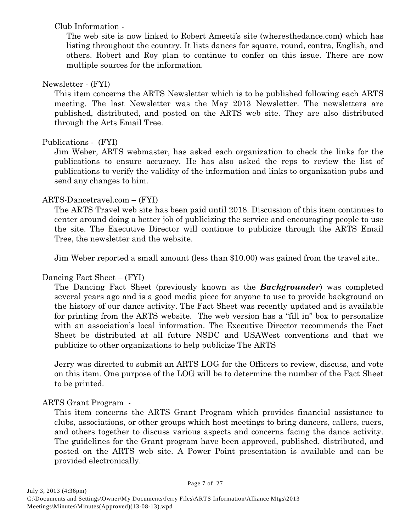Club Information -

The web site is now linked to Robert Ameeti's site (wheresthedance.com) which has listing throughout the country. It lists dances for square, round, contra, English, and others. Robert and Roy plan to continue to confer on this issue. There are now multiple sources for the information.

# Newsletter - (FYI)

This item concerns the ARTS Newsletter which is to be published following each ARTS meeting. The last Newsletter was the May 2013 Newsletter. The newsletters are published, distributed, and posted on the ARTS web site. They are also distributed through the Arts Email Tree.

# Publications - (FYI)

Jim Weber, ARTS webmaster, has asked each organization to check the links for the publications to ensure accuracy. He has also asked the reps to review the list of publications to verify the validity of the information and links to organization pubs and send any changes to him.

# ARTS-Dancetravel.com – (FYI)

The ARTS Travel web site has been paid until 2018. Discussion of this item continues to center around doing a better job of publicizing the service and encouraging people to use the site. The Executive Director will continue to publicize through the ARTS Email Tree, the newsletter and the website.

Jim Weber reported a small amount (less than \$10.00) was gained from the travel site..

# Dancing Fact Sheet – (FYI)

The Dancing Fact Sheet (previously known as the *Backgrounder*) was completed several years ago and is a good media piece for anyone to use to provide background on the history of our dance activity. The Fact Sheet was recently updated and is available for printing from the ARTS website. The web version has a "fill in" box to personalize with an association's local information. The Executive Director recommends the Fact Sheet be distributed at all future NSDC and USAWest conventions and that we publicize to other organizations to help publicize The ARTS

Jerry was directed to submit an ARTS LOG for the Officers to review, discuss, and vote on this item. One purpose of the LOG will be to determine the number of the Fact Sheet to be printed.

# ARTS Grant Program -

This item concerns the ARTS Grant Program which provides financial assistance to clubs, associations, or other groups which host meetings to bring dancers, callers, cuers, and others together to discuss various aspects and concerns facing the dance activity. The guidelines for the Grant program have been approved, published, distributed, and posted on the ARTS web site. A Power Point presentation is available and can be provided electronically.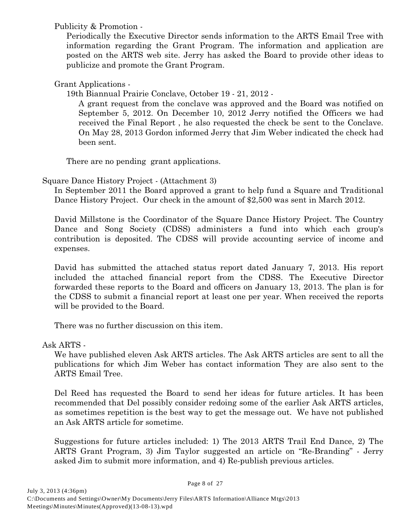Publicity & Promotion -

Periodically the Executive Director sends information to the ARTS Email Tree with information regarding the Grant Program. The information and application are posted on the ARTS web site. Jerry has asked the Board to provide other ideas to publicize and promote the Grant Program.

Grant Applications -

19th Biannual Prairie Conclave, October 19 - 21, 2012 -

A grant request from the conclave was approved and the Board was notified on September 5, 2012. On December 10, 2012 Jerry notified the Officers we had received the Final Report , he also requested the check be sent to the Conclave. On May 28, 2013 Gordon informed Jerry that Jim Weber indicated the check had been sent.

There are no pending grant applications.

Square Dance History Project - (Attachment 3)

In September 2011 the Board approved a grant to help fund a Square and Traditional Dance History Project. Our check in the amount of \$2,500 was sent in March 2012.

David Millstone is the Coordinator of the Square Dance History Project. The Country Dance and Song Society (CDSS) administers a fund into which each group's contribution is deposited. The CDSS will provide accounting service of income and expenses.

David has submitted the attached status report dated January 7, 2013. His report included the attached financial report from the CDSS. The Executive Director forwarded these reports to the Board and officers on January 13, 2013. The plan is for the CDSS to submit a financial report at least one per year. When received the reports will be provided to the Board.

There was no further discussion on this item.

Ask ARTS -

We have published eleven Ask ARTS articles. The Ask ARTS articles are sent to all the publications for which Jim Weber has contact information They are also sent to the ARTS Email Tree.

Del Reed has requested the Board to send her ideas for future articles. It has been recommended that Del possibly consider redoing some of the earlier Ask ARTS articles, as sometimes repetition is the best way to get the message out. We have not published an Ask ARTS article for sometime.

Suggestions for future articles included: 1) The 2013 ARTS Trail End Dance, 2) The ARTS Grant Program, 3) Jim Taylor suggested an article on "Re-Branding" - Jerry asked Jim to submit more information, and 4) Re-publish previous articles.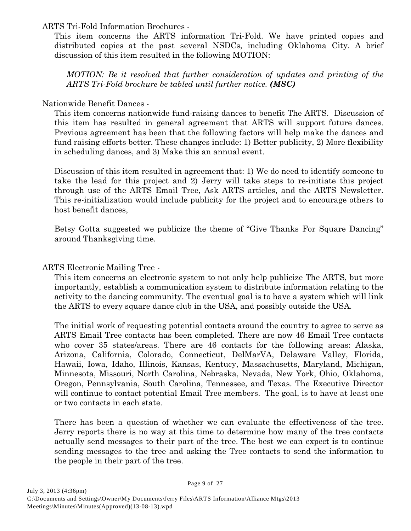### ARTS Tri-Fold Information Brochures -

This item concerns the ARTS information Tri-Fold. We have printed copies and distributed copies at the past several NSDCs, including Oklahoma City. A brief discussion of this item resulted in the following MOTION:

*MOTION: Be it resolved that further consideration of updates and printing of the ARTS Tri-Fold brochure be tabled until further notice. (MSC)*

### Nationwide Benefit Dances -

This item concerns nationwide fund-raising dances to benefit The ARTS. Discussion of this item has resulted in general agreement that ARTS will support future dances. Previous agreement has been that the following factors will help make the dances and fund raising efforts better. These changes include: 1) Better publicity, 2) More flexibility in scheduling dances, and 3) Make this an annual event.

Discussion of this item resulted in agreement that: 1) We do need to identify someone to take the lead for this project and 2) Jerry will take steps to re-initiate this project through use of the ARTS Email Tree, Ask ARTS articles, and the ARTS Newsletter. This re-initialization would include publicity for the project and to encourage others to host benefit dances,

Betsy Gotta suggested we publicize the theme of "Give Thanks For Square Dancing" around Thanksgiving time.

ARTS Electronic Mailing Tree -

This item concerns an electronic system to not only help publicize The ARTS, but more importantly, establish a communication system to distribute information relating to the activity to the dancing community. The eventual goal is to have a system which will link the ARTS to every square dance club in the USA, and possibly outside the USA.

The initial work of requesting potential contacts around the country to agree to serve as ARTS Email Tree contacts has been completed. There are now 46 Email Tree contacts who cover 35 states/areas. There are 46 contacts for the following areas: Alaska, Arizona, California, Colorado, Connecticut, DelMarVA, Delaware Valley, Florida, Hawaii, Iowa, Idaho, Illinois, Kansas, Kentucy, Massachusetts, Maryland, Michigan, Minnesota, Missouri, North Carolina, Nebraska, Nevada, New York, Ohio, Oklahoma, Oregon, Pennsylvania, South Carolina, Tennessee, and Texas. The Executive Director will continue to contact potential Email Tree members. The goal, is to have at least one or two contacts in each state.

There has been a question of whether we can evaluate the effectiveness of the tree. Jerry reports there is no way at this time to determine how many of the tree contacts actually send messages to their part of the tree. The best we can expect is to continue sending messages to the tree and asking the Tree contacts to send the information to the people in their part of the tree.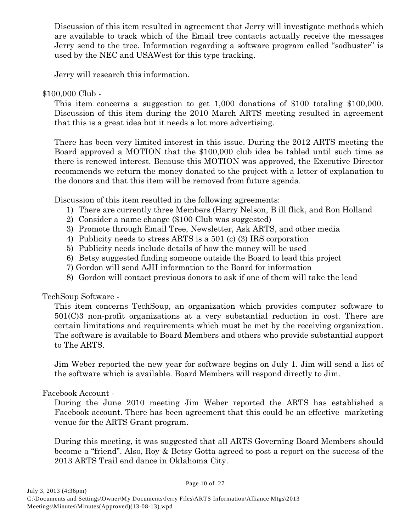Discussion of this item resulted in agreement that Jerry will investigate methods which are available to track which of the Email tree contacts actually receive the messages Jerry send to the tree. Information regarding a software program called "sodbuster" is used by the NEC and USAWest for this type tracking.

Jerry will research this information.

### \$100,000 Club -

This item concerns a suggestion to get 1,000 donations of \$100 totaling \$100,000. Discussion of this item during the 2010 March ARTS meeting resulted in agreement that this is a great idea but it needs a lot more advertising.

There has been very limited interest in this issue. During the 2012 ARTS meeting the Board approved a MOTION that the \$100,000 club idea be tabled until such time as there is renewed interest. Because this MOTION was approved, the Executive Director recommends we return the money donated to the project with a letter of explanation to the donors and that this item will be removed from future agenda.

Discussion of this item resulted in the following agreements:

- 1) There are currently three Members (Harry Nelson, B ill flick, and Ron Holland
- 2) Consider a name change (\$100 Club was suggested)
- 3) Promote through Email Tree, Newsletter, Ask ARTS, and other media
- 4) Publicity needs to stress ARTS is a 501 (c) (3) IRS corporation
- 5) Publicity needs include details of how the money will be used
- 6) Betsy suggested finding someone outside the Board to lead this project
- 7) Gordon will send AJH information to the Board for information
- 8) Gordon will contact previous donors to ask if one of them will take the lead

TechSoup Software -

This item concerns TechSoup, an organization which provides computer software to 501(C)3 non-profit organizations at a very substantial reduction in cost. There are certain limitations and requirements which must be met by the receiving organization. The software is available to Board Members and others who provide substantial support to The ARTS.

Jim Weber reported the new year for software begins on July 1. Jim will send a list of the software which is available. Board Members will respond directly to Jim.

Facebook Account -

During the June 2010 meeting Jim Weber reported the ARTS has established a Facebook account. There has been agreement that this could be an effective marketing venue for the ARTS Grant program.

During this meeting, it was suggested that all ARTS Governing Board Members should become a "friend". Also, Roy & Betsy Gotta agreed to post a report on the success of the 2013 ARTS Trail end dance in Oklahoma City.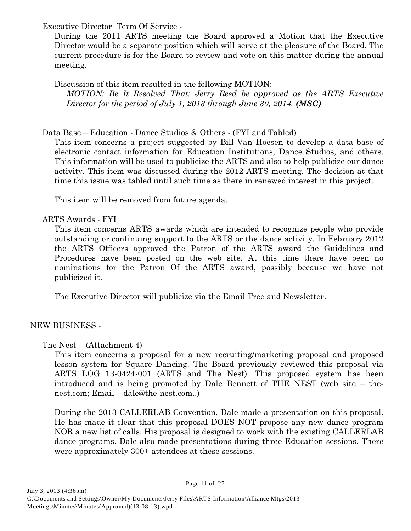Executive Director Term Of Service -

During the 2011 ARTS meeting the Board approved a Motion that the Executive Director would be a separate position which will serve at the pleasure of the Board. The current procedure is for the Board to review and vote on this matter during the annual meeting.

Discussion of this item resulted in the following MOTION: *MOTION: Be It Resolved That: Jerry Reed be approved as the ARTS Executive Director for the period of July 1, 2013 through June 30, 2014. (MSC)*

## Data Base – Education - Dance Studios & Others - (FYI and Tabled)

This item concerns a project suggested by Bill Van Hoesen to develop a data base of electronic contact information for Education Institutions, Dance Studios, and others. This information will be used to publicize the ARTS and also to help publicize our dance activity. This item was discussed during the 2012 ARTS meeting. The decision at that time this issue was tabled until such time as there in renewed interest in this project.

This item will be removed from future agenda.

## ARTS Awards - FYI

This item concerns ARTS awards which are intended to recognize people who provide outstanding or continuing support to the ARTS or the dance activity. In February 2012 the ARTS Officers approved the Patron of the ARTS award the Guidelines and Procedures have been posted on the web site. At this time there have been no nominations for the Patron Of the ARTS award, possibly because we have not publicized it.

The Executive Director will publicize via the Email Tree and Newsletter.

## NEW BUSINESS -

The Nest - (Attachment 4)

This item concerns a proposal for a new recruiting/marketing proposal and proposed lesson system for Square Dancing. The Board previously reviewed this proposal via ARTS LOG 13-0424-001 (ARTS and The Nest). This proposed system has been introduced and is being promoted by Dale Bennett of THE NEST (web site – thenest.com; Email – dale@the-nest.com..)

During the 2013 CALLERLAB Convention, Dale made a presentation on this proposal. He has made it clear that this proposal DOES NOT propose any new dance program NOR a new list of calls. His proposal is designed to work with the existing CALLERLAB dance programs. Dale also made presentations during three Education sessions. There were approximately 300+ attendees at these sessions.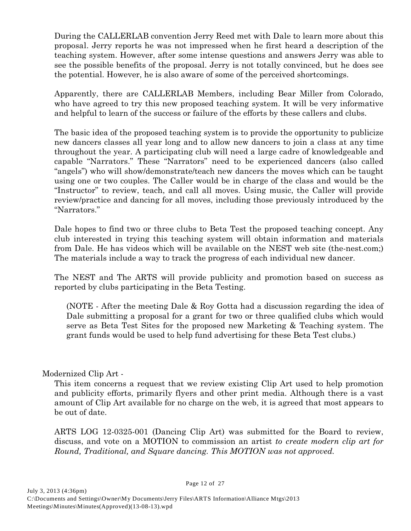During the CALLERLAB convention Jerry Reed met with Dale to learn more about this proposal. Jerry reports he was not impressed when he first heard a description of the teaching system. However, after some intense questions and answers Jerry was able to see the possible benefits of the proposal. Jerry is not totally convinced, but he does see the potential. However, he is also aware of some of the perceived shortcomings.

Apparently, there are CALLERLAB Members, including Bear Miller from Colorado, who have agreed to try this new proposed teaching system. It will be very informative and helpful to learn of the success or failure of the efforts by these callers and clubs.

The basic idea of the proposed teaching system is to provide the opportunity to publicize new dancers classes all year long and to allow new dancers to join a class at any time throughout the year. A participating club will need a large cadre of knowledgeable and capable "Narrators." These "Narrators" need to be experienced dancers (also called "angels") who will show/demonstrate/teach new dancers the moves which can be taught using one or two couples. The Caller would be in charge of the class and would be the "Instructor" to review, teach, and call all moves. Using music, the Caller will provide review/practice and dancing for all moves, including those previously introduced by the "Narrators."

Dale hopes to find two or three clubs to Beta Test the proposed teaching concept. Any club interested in trying this teaching system will obtain information and materials from Dale. He has videos which will be available on the NEST web site (the-nest.com;) The materials include a way to track the progress of each individual new dancer.

The NEST and The ARTS will provide publicity and promotion based on success as reported by clubs participating in the Beta Testing.

(NOTE - After the meeting Dale & Roy Gotta had a discussion regarding the idea of Dale submitting a proposal for a grant for two or three qualified clubs which would serve as Beta Test Sites for the proposed new Marketing & Teaching system. The grant funds would be used to help fund advertising for these Beta Test clubs.)

## Modernized Clip Art -

This item concerns a request that we review existing Clip Art used to help promotion and publicity efforts, primarily flyers and other print media. Although there is a vast amount of Clip Art available for no charge on the web, it is agreed that most appears to be out of date.

ARTS LOG 12-0325-001 (Dancing Clip Art) was submitted for the Board to review, discuss, and vote on a MOTION to commission an artist *to create modern clip art for Round, Traditional, and Square dancing. This MOTION was not approved.*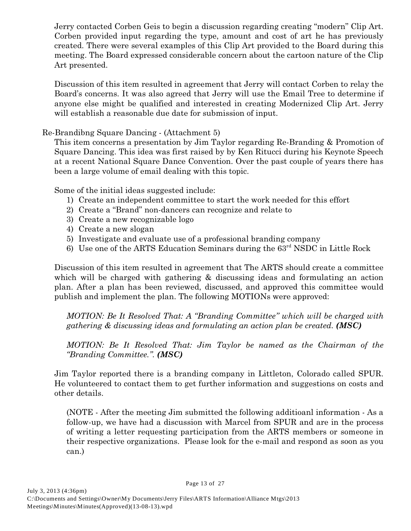Jerry contacted Corben Geis to begin a discussion regarding creating "modern" Clip Art. Corben provided input regarding the type, amount and cost of art he has previously created. There were several examples of this Clip Art provided to the Board during this meeting. The Board expressed considerable concern about the cartoon nature of the Clip Art presented.

Discussion of this item resulted in agreement that Jerry will contact Corben to relay the Board's concerns. It was also agreed that Jerry will use the Email Tree to determine if anyone else might be qualified and interested in creating Modernized Clip Art. Jerry will establish a reasonable due date for submission of input.

Re-Brandibng Square Dancing - (Attachment 5)

This item concerns a presentation by Jim Taylor regarding Re-Branding & Promotion of Square Dancing. This idea was first raised by by Ken Ritucci during his Keynote Speech at a recent National Square Dance Convention. Over the past couple of years there has been a large volume of email dealing with this topic.

Some of the initial ideas suggested include:

- 1) Create an independent committee to start the work needed for this effort
- 2) Create a "Brand" non-dancers can recognize and relate to
- 3) Create a new recognizable logo
- 4) Create a new slogan
- 5) Investigate and evaluate use of a professional branding company
- 6) Use one of the ARTS Education Seminars during the  $63<sup>rd</sup>$  NSDC in Little Rock

Discussion of this item resulted in agreement that The ARTS should create a committee which will be charged with gathering & discussing ideas and formulating an action plan. After a plan has been reviewed, discussed, and approved this committee would publish and implement the plan. The following MOTIONs were approved:

*MOTION: Be It Resolved That: A "Branding Committee" which will be charged with gathering & discussing ideas and formulating an action plan be created. (MSC)*

*MOTION: Be It Resolved That: Jim Taylor be named as the Chairman of the "Branding Committee.". (MSC)*

Jim Taylor reported there is a branding company in Littleton, Colorado called SPUR. He volunteered to contact them to get further information and suggestions on costs and other details.

(NOTE - After the meeting Jim submitted the following additioanl information - As a follow-up, we have had a discussion with Marcel from SPUR and are in the process of writing a letter requesting participation from the ARTS members or someone in their respective organizations. Please look for the e-mail and respond as soon as you can.)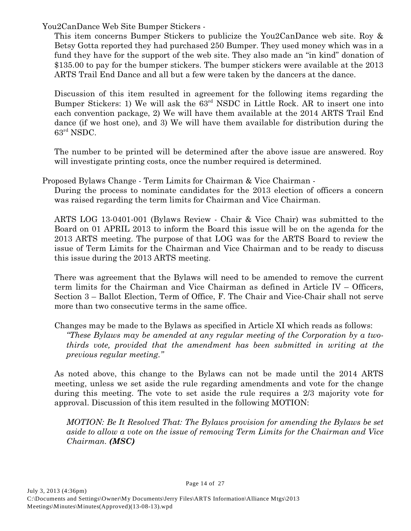You2CanDance Web Site Bumper Stickers -

This item concerns Bumper Stickers to publicize the You2CanDance web site. Roy & Betsy Gotta reported they had purchased 250 Bumper. They used money which was in a fund they have for the support of the web site. They also made an "in kind" donation of \$135.00 to pay for the bumper stickers. The bumper stickers were available at the 2013 ARTS Trail End Dance and all but a few were taken by the dancers at the dance.

Discussion of this item resulted in agreement for the following items regarding the Bumper Stickers: 1) We will ask the  $63<sup>rd</sup>$  NSDC in Little Rock. AR to insert one into each convention package, 2) We will have them available at the 2014 ARTS Trail End dance (if we host one), and 3) We will have them available for distribution during the  $63<sup>rd</sup>$  NSDC.

The number to be printed will be determined after the above issue are answered. Roy will investigate printing costs, once the number required is determined.

Proposed Bylaws Change - Term Limits for Chairman & Vice Chairman -

During the process to nominate candidates for the 2013 election of officers a concern was raised regarding the term limits for Chairman and Vice Chairman.

ARTS LOG 13-0401-001 (Bylaws Review - Chair & Vice Chair) was submitted to the Board on 01 APRIL 2013 to inform the Board this issue will be on the agenda for the 2013 ARTS meeting. The purpose of that LOG was for the ARTS Board to review the issue of Term Limits for the Chairman and Vice Chairman and to be ready to discuss this issue during the 2013 ARTS meeting.

There was agreement that the Bylaws will need to be amended to remove the current term limits for the Chairman and Vice Chairman as defined in Article IV – Officers, Section 3 – Ballot Election, Term of Office, F. The Chair and Vice-Chair shall not serve more than two consecutive terms in the same office.

Changes may be made to the Bylaws as specified in Article XI which reads as follows: *"These Bylaws may be amended at any regular meeting of the Corporation by a twothirds vote, provided that the amendment has been submitted in writing at the previous regular meeting."*

As noted above, this change to the Bylaws can not be made until the 2014 ARTS meeting, unless we set aside the rule regarding amendments and vote for the change during this meeting. The vote to set aside the rule requires a 2/3 majority vote for approval. Discussion of this item resulted in the following MOTION:

*MOTION: Be It Resolved That: The Bylaws provision for amending the Bylaws be set aside to allow a vote on the issue of removing Term Limits for the Chairman and Vice Chairman. (MSC)*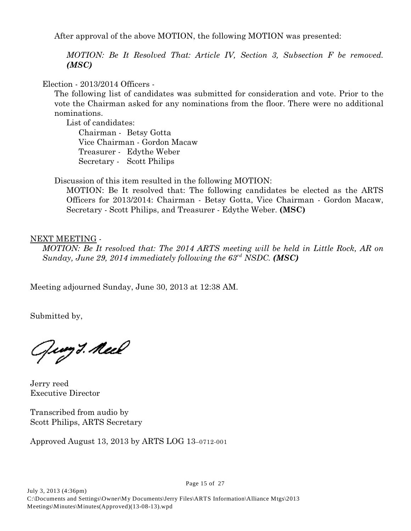After approval of the above MOTION, the following MOTION was presented:

*MOTION: Be It Resolved That: Article IV, Section 3, Subsection F be removed. (MSC)*

Election - 2013/2014 Officers -

The following list of candidates was submitted for consideration and vote. Prior to the vote the Chairman asked for any nominations from the floor. There were no additional nominations.

List of candidates:

Chairman - Betsy Gotta Vice Chairman - Gordon Macaw Treasurer - Edythe Weber Secretary - Scott Philips

Discussion of this item resulted in the following MOTION:

MOTION: Be It resolved that: The following candidates be elected as the ARTS Officers for 2013/2014: Chairman - Betsy Gotta, Vice Chairman - Gordon Macaw, Secretary - Scott Philips, and Treasurer - Edythe Weber. **(MSC)**

NEXT MEETING -

*MOTION: Be It resolved that: The 2014 ARTS meeting will be held in Little Rock, AR on Sunday, June 29, 2014 immediately following the*  $63<sup>rd</sup>$  *NSDC.* (*MSC*)

Meeting adjourned Sunday, June 30, 2013 at 12:38 AM.

Submitted by,

Guy *3. Neel* 

Jerry reed Executive Director

Transcribed from audio by Scott Philips, ARTS Secretary

Approved August 13, 2013 by ARTS LOG 13–0712-001

Page 15 of 27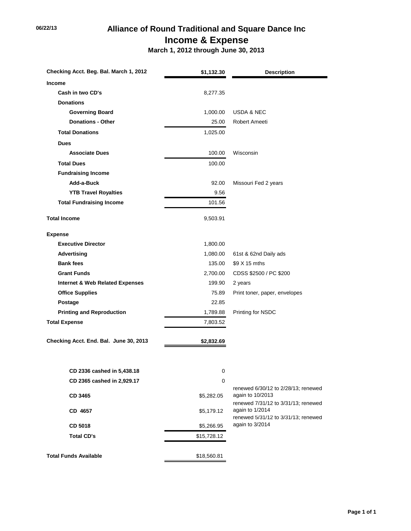# **06/22/13 Alliance of Round Traditional and Square Dance Inc Income & Expense**

 **March 1, 2012 through June 30, 2013**

| Checking Acct. Beg. Bal. March 1, 2012     | <b>Description</b><br>\$1,132.30 |                                                         |
|--------------------------------------------|----------------------------------|---------------------------------------------------------|
| <b>Income</b>                              |                                  |                                                         |
| Cash in two CD's                           | 8,277.35                         |                                                         |
| <b>Donations</b>                           |                                  |                                                         |
| <b>Governing Board</b>                     | 1,000.00                         | <b>USDA &amp; NEC</b>                                   |
| <b>Donations - Other</b>                   | 25.00                            | Robert Ameeti                                           |
| <b>Total Donations</b>                     | 1,025.00                         |                                                         |
| <b>Dues</b>                                |                                  |                                                         |
| <b>Associate Dues</b>                      | 100.00                           | Wisconsin                                               |
| <b>Total Dues</b>                          | 100.00                           |                                                         |
| <b>Fundraising Income</b>                  |                                  |                                                         |
| Add-a-Buck                                 | 92.00                            | Missouri Fed 2 years                                    |
| <b>YTB Travel Royalties</b>                | 9.56                             |                                                         |
| <b>Total Fundraising Income</b>            | 101.56                           |                                                         |
| <b>Total Income</b>                        | 9,503.91                         |                                                         |
| <b>Expense</b>                             |                                  |                                                         |
| <b>Executive Director</b>                  | 1,800.00                         |                                                         |
| Advertising                                | 1,080.00                         | 61st & 62nd Daily ads                                   |
| <b>Bank fees</b>                           | 135.00                           | \$9 X 15 mths                                           |
| <b>Grant Funds</b>                         | 2,700.00                         | CDSS \$2500 / PC \$200                                  |
| <b>Internet &amp; Web Related Expenses</b> | 199.90                           | 2 years                                                 |
| <b>Office Supplies</b>                     | 75.89                            | Print toner, paper, envelopes                           |
| Postage                                    | 22.85                            |                                                         |
| <b>Printing and Reproduction</b>           | 1,789.88                         | Printing for NSDC                                       |
| <b>Total Expense</b>                       | 7,803.52                         |                                                         |
| Checking Acct. End. Bal. June 30, 2013     | \$2,832.69                       |                                                         |
|                                            |                                  |                                                         |
| CD 2336 cashed in 5,438.18                 | 0                                |                                                         |
| CD 2365 cashed in 2,929.17                 | $\mathbf 0$                      |                                                         |
| CD 3465                                    | \$5,282.05                       | renewed 6/30/12 to 2/28/13; renewed<br>again to 10/2013 |
|                                            |                                  | renewed 7/31/12 to 3/31/13; renewed                     |
| CD 4657                                    | \$5,179.12                       | again to 1/2014<br>renewed 5/31/12 to 3/31/13; renewed  |
| CD 5018                                    | \$5,266.95                       | again to 3/2014                                         |
| <b>Total CD's</b>                          | \$15,728.12                      |                                                         |
| <b>Total Funds Available</b>               | \$18,560.81                      |                                                         |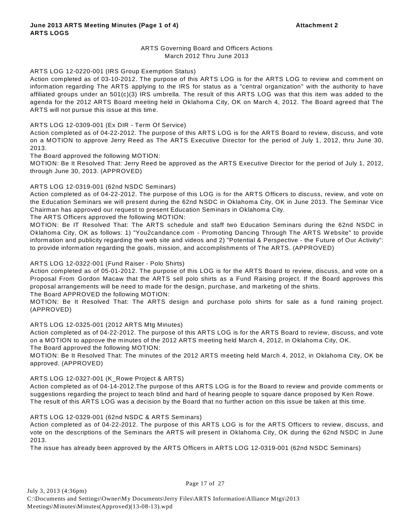### ARTS Governing Board and Officers Actions March 2012 Thru June 2013

#### ARTS LOG 12-0220-001 (IRS Group Exemption Status)

Action completed as of 03-10-2012. The purpose of this ARTS LOG is for the ARTS LOG to review and comment on information regarding The ARTS applying to the IRS for status as a "central organization" with the authority to have affiliated groups under an 501(c)(3) IRS umbrella. The result of this ARTS LOG was that this item was added to the agenda for the 2012 ARTS Board meeting held in Oklahoma City, OK on March 4, 2012. The Board agreed that The ARTS will not pursue this issue at this time.

#### ARTS LOG 12-0309-001 (Ex DIR - Term Of Service)

Action completed as of 04-22-2012. The purpose of this ARTS LOG is for the ARTS Board to review, discuss, and vote on a MOTION to approve Jerry Reed as The ARTS Executive Director for the period of July 1, 2012, thru June 30, 2013.

The Board approved the following MOTION:

MOTION: Be It Resolved That: Jerry Reed be approved as the ARTS Executive Director for the period of July 1, 2012, through June 30, 2013. (APPROVED)

#### ARTS LOG 12-0319-001 (62nd NSDC Seminars)

Action completed as of 04-22-2012. The purpose of this LOG is for the ARTS Officers to discuss, review, and vote on the Education Seminars we will present during the 62nd NSDC in Oklahoma City, OK in June 2013. The Seminar Vice Chairman has approved our request to present Education Seminars in Oklahoma City.

The ARTS Officers approved the following MOTION:

MOTION: Be IT Resolved That: The ARTS schedule and staff two Education Seminars during the 62nd NSDC in Oklahoma City, OK as follows: 1) "You2candance.com - Promoting Dancing Through The ARTS W ebsite" to provide information and publicity regarding the web site and videos and 2) "Potential & Perspective - the Future of Our Activity": to provide information regarding the goals, mission, and accomplishments of The ARTS. (APPROVED)

#### ARTS LOG 12-0322-001 (Fund Raiser - Polo Shirts)

Action completed as of 05-01-2012. The purpose of this LOG is for the ARTS Board to review, discuss, and vote on a Proposal From Gordon Macaw that the ARTS sell polo shirts as a Fund Raising project. If the Board approves this proposal arrangements will be need to made for the design, purchase, and marketing of the shirts.

The Board APPROVED the following MOTION:

MOTION: Be It Resolved That: The ARTS design and purchase polo shirts for sale as a fund raining project. (APPROVED)

#### ARTS LOG 12-0325-001 (2012 ARTS Mtg Minutes)

Action completed as of 04-22-2012. The purpose of this ARTS LOG is for the ARTS Board to review, discuss, and vote on a MOTION to approve the minutes of the 2012 ARTS meeting held March 4, 2012, in Oklahoma City, OK. The Board approved the following MOTION:

MOTION: Be It Resolved That: The minutes of the 2012 ARTS meeting held March 4, 2012, in Oklahoma City, OK be approved. (APPROVED)

#### ARTS LOG 12-0327-001 (K\_Rowe Project & ARTS)

Action completed as of 04-14-2012.The purpose of this ARTS LOG is for the Board to review and provide comments or suggestions regarding the project to teach blind and hard of hearing people to square dance proposed by Ken Rowe. The result of this ARTS LOG was a decision by the Board that no further action on this issue be taken at this time.

#### ARTS LOG 12-0329-001 (62nd NSDC & ARTS Seminars)

Action completed as of 04-22-2012. The purpose of this ARTS LOG is for the ARTS Officers to review, discuss, and vote on the descriptions of the Seminars the ARTS will present in Oklahoma City, OK during the 62nd NSDC in June 2013.

The issue has already been approved by the ARTS Officers in ARTS LOG 12-0319-001 (62nd NSDC Seminars)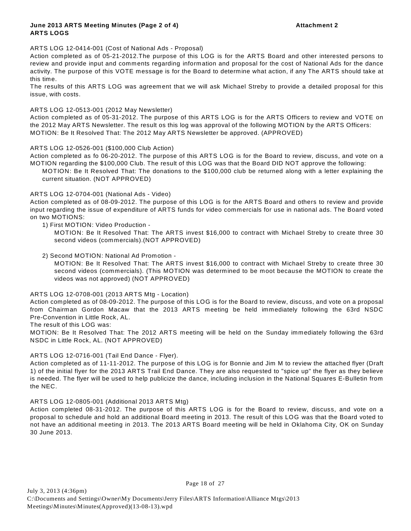#### **June 2013 ARTS Meeting Minutes (Page 2 of 4) Attachment 2 ARTS LOGS**

#### ARTS LOG 12-0414-001 (Cost of National Ads - Proposal)

Action completed as of 05-21-2012.The purpose of this LOG is for the ARTS Board and other interested persons to review and provide input and comments regarding information and proposal for the cost of National Ads for the dance activity. The purpose of this VOTE message is for the Board to determine what action, if any The ARTS should take at this time.

The results of this ARTS LOG was agreement that we will ask Michael Streby to provide a detailed proposal for this issue, with costs.

#### ARTS LOG 12-0513-001 (2012 May Newsletter)

Action completed as of 05-31-2012. The purpose of this ARTS LOG is for the ARTS Officers to review and VOTE on the 2012 May ARTS Newsletter. The result os this log was approval of the following MOTION by the ARTS Officers: MOTION: Be It Resolved That: The 2012 May ARTS Newsletter be approved. (APPROVED)

#### ARTS LOG 12-0526-001 (\$100,000 Club Action)

Action completed as fo 06-20-2012. The purpose of this ARTS LOG is for the Board to review, discuss, and vote on a MOTION regarding the \$100,000 Club. The result of this LOG was that the Board DID NOT approve the following:

MOTION: Be It Resolved That: The donations to the \$100,000 club be returned along with a letter explaining the current situation. (NOT APPROVED)

#### ARTS LOG 12-0704-001 (National Ads - Video)

Action completed as of 08-09-2012. The purpose of this LOG is for the ARTS Board and others to review and provide input regarding the issue of expenditure of ARTS funds for video commercials for use in national ads. The Board voted on two MOTIONS:

1) First MOTION: Video Production -

MOTION: Be It Resolved That: The ARTS invest \$16,000 to contract with Michael Streby to create three 30 second videos (commercials).(NOT APPROVED)

2) Second MOTION: National Ad Promotion -

MOTION: Be It Resolved That: The ARTS invest \$16,000 to contract with Michael Streby to create three 30 second videos (commercials). (This MOTION was determined to be moot because the MOTION to create the videos was not approved) (NOT APPROVED)

#### ARTS LOG 12-0708-001 (2013 ARTS Mtg - Location)

Action completed as of 08-09-2012. The purpose of this LOG is for the Board to review, discuss, and vote on a proposal from Chairman Gordon Macaw that the 2013 ARTS meeting be held immediately following the 63rd NSDC Pre-Convention in Little Rock, AL.

The result of this LOG was:

MOTION: Be It Resolved That: The 2012 ARTS meeting will be held on the Sunday immediately following the 63rd NSDC in Little Rock, AL. (NOT APPROVED)

#### ARTS LOG 12-0716-001 (Tail End Dance - Flyer).

Action completed as of 11-11-2012. The purpose of this LOG is for Bonnie and Jim M to review the attached flyer (Draft 1) of the initial flyer for the 2013 ARTS Trail End Dance. They are also requested to "spice up" the flyer as they believe is needed. The flyer will be used to help publicize the dance, including inclusion in the National Squares E-Bulletin from the NEC.

#### ARTS LOG 12-0805-001 (Additional 2013 ARTS Mtg)

Action completed 08-31-2012. The purpose of this ARTS LOG is for the Board to review, discuss, and vote on a proposal to schedule and hold an additional Board meeting in 2013. The result of this LOG was that the Board voted to not have an additional meeting in 2013. The 2013 ARTS Board meeting will be held in Oklahoma City, OK on Sunday 30 June 2013.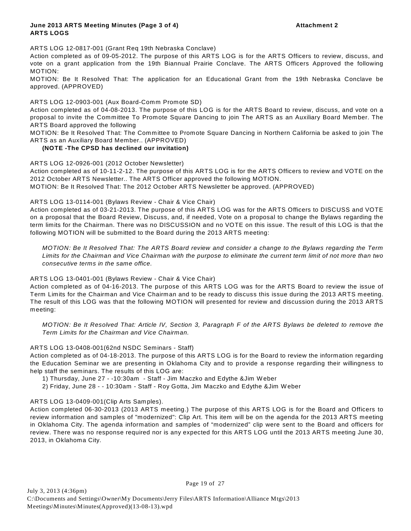#### **June 2013 ARTS Meeting Minutes (Page 3 of 4) Attachment 2 ARTS LOGS**

ARTS LOG 12-0817-001 (Grant Req 19th Nebraska Conclave)

Action completed as of 09-05-2012. The purpose of this ARTS LOG is for the ARTS Officers to review, discuss, and vote on a grant application from the 19th Biannual Prairie Conclave. The ARTS Officers Approved the following MOTION:

MOTION: Be It Resolved That: The application for an Educational Grant from the 19th Nebraska Conclave be approved. (APPROVED)

ARTS LOG 12-0903-001 (Aux Board-Comm Promote SD)

Action completed as of 04-08-2013. The purpose of this LOG is for the ARTS Board to review, discuss, and vote on a proposal to invite the Committee To Promote Square Dancing to join The ARTS as an Auxiliary Board Member. The ARTS Board approved the following

MOTION: Be It Resolved That: The Committee to Promote Square Dancing in Northern California be asked to join The ARTS as an Auxiliary Board Member.. (APPROVED)

#### **(NOTE -The CPSD has declined our invitation)**

ARTS LOG 12-0926-001 (2012 October Newsletter)

Action completed as of 10-11-2-12. The purpose of this ARTS LOG is for the ARTS Officers to review and VOTE on the 2012 October ARTS Newsletter.. The ARTS Officer approved the following MOTION.

MOTION: Be It Resolved That: The 2012 October ARTS Newsletter be approved. (APPROVED)

#### ARTS LOG 13-0114-001 (Bylaws Review - Chair & Vice Chair)

Action completed as of 03-21-2013. The purpose of this ARTS LOG was for the ARTS Officers to DISCUSS and VOTE on a proposal that the Board Review, Discuss, and, if needed, Vote on a proposal to change the Bylaws regarding the term limits for the Chairman. There was no DISCUSSION and no VOTE on this issue. The result of this LOG is that the following MOTION will be submitted to the Board during the 2013 ARTS meeting:

*MOTION: Be It Resolved That: The ARTS Board review and consider a change to the Bylaws regarding the Term Limits for the Chairman and Vice Chairman with the purpose to eliminate the current term limit of not more than two consecutive terms in the same office.*

#### ARTS LOG 13-0401-001 (Bylaws Review - Chair & Vice Chair)

Action completed as of 04-16-2013. The purpose of this ARTS LOG was for the ARTS Board to review the issue of Term Limits for the Chairman and Vice Chairman and to be ready to discuss this issue during the 2013 ARTS meeting. The result of this LOG was that the following MOTION will presented for review and discussion during the 2013 ARTS meeting:

*MOTION: Be It Resolved That: Article IV, Section 3, Paragraph F of the ARTS Bylaws be deleted to remove the Term Limits for the Chairman and Vice Chairman.*

#### ARTS LOG 13-0408-001(62nd NSDC Seminars - Staff)

Action completed as of 04-18-2013. The purpose of this ARTS LOG is for the Board to review the information regarding the Education Seminar we are presenting in Oklahoma City and to provide a response regarding their willingness to help staff the seminars. The results of this LOG are:

1) Thursday, June 27 - -10:30am - Staff - Jim Maczko and Edythe &Jim W eber

2) Friday, June 28 - - 10:30am - Staff - Roy Gotta, Jim Maczko and Edythe &Jim W eber

#### ARTS LOG 13-0409-001(Clip Arts Samples).

Action completed 06-30-2013 (2013 ARTS meeting.) The purpose of this ARTS LOG is for the Board and Officers to review information and samples of "modernized": Clip Art. This item will be on the agenda for the 2013 ARTS meeting in Oklahoma City. The agenda information and samples of "modernized" clip were sent to the Board and officers for review. There was no response required nor is any expected for this ARTS LOG until the 2013 ARTS meeting June 30, 2013, in Oklahoma City.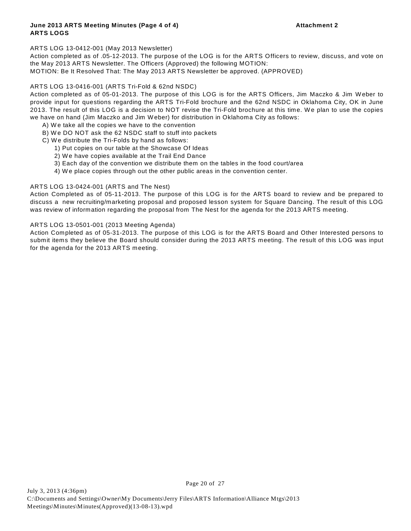#### ARTS LOG 13-0412-001 (May 2013 Newsletter)

Action completed as of .05-12-2013. The purpose of the LOG is for the ARTS Officers to review, discuss, and vote on the May 2013 ARTS Newsletter. The Officers (Approved) the following MOTION:

MOTION: Be It Resolved That: The May 2013 ARTS Newsletter be approved. (APPROVED)

#### ARTS LOG 13-0416-001 (ARTS Tri-Fold & 62nd NSDC)

Action completed as of 05-01-2013. The purpose of this LOG is for the ARTS Officers, Jim Maczko & Jim W eber to provide input for questions regarding the ARTS Tri-Fold brochure and the 62nd NSDC in Oklahoma City, OK in June 2013. The result of this LOG is a decision to NOT revise the Tri-Fold brochure at this time. W e plan to use the copies we have on hand (Jim Maczko and Jim W eber) for distribution in Oklahoma City as follows:

- A) W e take all the copies we have to the convention
- B) W e DO NOT ask the 62 NSDC staff to stuff into packets
- C) W e distribute the Tri-Folds by hand as follows:
	- 1) Put copies on our table at the Showcase Of Ideas
	- 2) We have copies available at the Trail End Dance
	- 3) Each day of the convention we distribute them on the tables in the food court/area
	- 4) W e place copies through out the other public areas in the convention center.

#### ARTS LOG 13-0424-001 (ARTS and The Nest)

Action Completed as of 05-11-2013. The purpose of this LOG is for the ARTS board to review and be prepared to discuss a new recruiting/marketing proposal and proposed lesson system for Square Dancing. The result of this LOG was review of information regarding the proposal from The Nest for the agenda for the 2013 ARTS meeting.

#### ARTS LOG 13-0501-001 (2013 Meeting Agenda)

Action Completed as of 05-31-2013. The purpose of this LOG is for the ARTS Board and Other Interested persons to submit items they believe the Board should consider during the 2013 ARTS meeting. The result of this LOG was input for the agenda for the 2013 ARTS meeting.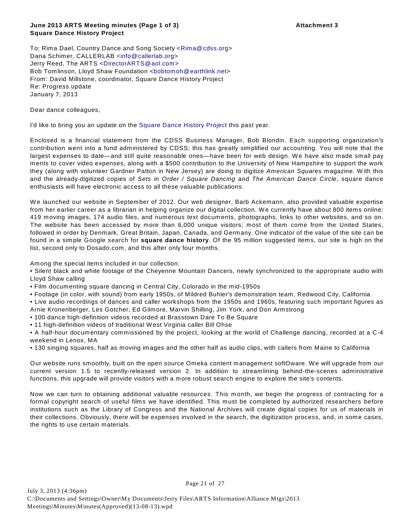To: Rima Dael, Country Dance and Song Society <Rima@cdss.org> Dana Schimer, CALLERLAB <info@callerlab.org> Jerry Reed, The ARTS <DirectorARTS@aol.com> Bob Tomlinson, Lloyd Shaw Foundation <bobtomoh@earthlink.net> From: David Millstone, coordinator, Square Dance History Project Re: Progress update January 7, 2013

Dear dance colleagues,

I'd like to bring you an update on the Square Dance History Project this past year.

Enclosed is a financial statement from the CDSS Business Manager, Bob Blondin. Each supporting organization's contribution went into a fund administered by CDSS; this has greatly simplified our accounting. You will note that the largest expenses to date—and still quite reasonable ones—have been for web design. We have also made small pay ments to cover video expenses, along with a \$500 contribution to the University of New Hampshire to support the work they (along with volunteer Gardner Patton in New Jersey) are doing to digitize *American Squares* magazine. W ith this and the already-digitized copies of *Sets in Order / Square Dancing* and *The American Dance Circle*, square dance enthusiasts will have electronic access to all these valuable publications.

W e launched our website in September of 2012. Our web designer, Barb Ackemann, also provided valuable expertise from her earlier career as a librarian in helping organize our digital collection. W e currently have about 800 items online: 419 moving images, 174 audio files, and numerous text documents, photographs, links to other websites, and so on. The website has been accessed by more than 6,000 unique visitors; most of them come from the United States, followed in order by Denmark, Great Britain, Japan, Canada, and Germany. One indicator of the value of the site can be found in a simple Google search for **square dance history**. Of the 95 million suggested items, our site is high on the list, second only to Dosado.com, and this after only four months.

Among the special items included in our collection:

• Silent black and white footage of the Cheyenne Mountain Dancers, newly synchronized to the appropriate audio with Lloyd Shaw calling

• Film documenting square dancing in Central City, Colorado in the mid-1950s

• Footage (in color, with sound) from early 1950s, of Mildred Buhler's demonstration team, Redwood City, California

• Live audio recordings of dances and caller workshops from the 1950s and 1960s, featuring such important figures as Arnie Kronenberger, Les Gotcher, Ed Gilmore, Marvin Shilling, Jim York, and Don Armstrong

• 100 dance high-definition videos recorded at Brasstown Dare To Be Square

• 11 high-definition videos of traditional W est Virginia caller Bill Ohse

• A half-hour documentary commissioned by the project, looking at the world of Challenge dancing, recorded at a C-4 weekend in Lenox, MA

• 130 singing squares, half as moving images and the other half as audio clips, with callers from Maine to California

Our website runs smoothly, built on the open source Omeka content management softOware. We will upgrade from our current version 1.5 to recently-released version 2. In addition to streamlining behind-the-scenes administrative functions, this upgrade will provide visitors with a more robust search engine to explore the site's contents.

Now we can turn to obtaining additional valuable resources. This month, we begin the progress of contracting for a formal copyright search of useful films we have identified. This must be completed by authorized researchers before institutions such as the Library of Congress and the National Archives will create digital copies for us of materials in their collections. Obviously, there will be expenses involved in the search, the digitization process, and, in some cases, the rights to use certain materials.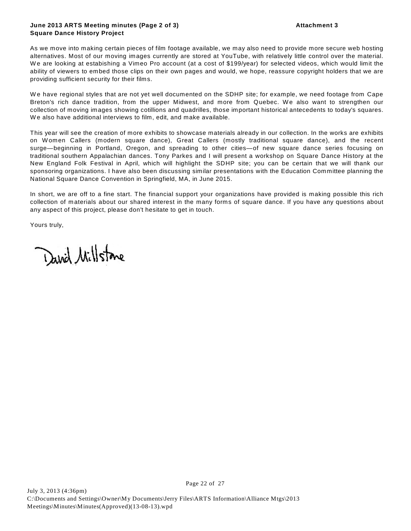#### **June 2013 ARTS Meeting minutes (Page 2 of 3) Attachment 3 Square Dance History Project**

As we move into making certain pieces of film footage available, we may also need to provide more secure web hosting alternatives. Most of our moving images currently are stored at YouTube, with relatively little control over the material. W e are looking at estabishing a Vimeo Pro account (at a cost of \$199/year) for selected videos, which would limit the ability of viewers to embed those clips on their own pages and would, we hope, reassure copyright holders that we are providing sufficient security for their films.

W e have regional styles that are not yet well documented on the SDHP site; for example, we need footage from Cape Breton's rich dance tradition, from the upper Midwest, and more from Quebec. We also want to strengthen our collection of moving images showing cotillions and quadrilles, those important historical antecedents to today's squares. We also have additional interviews to film, edit, and make available.

This year will see the creation of more exhibits to showcase materials already in our collection. In the works are exhibits on Women Callers (modern square dance), Great Callers (mostly traditional square dance), and the recent surge—beginning in Portland, Oregon, and spreading to other cities—of new square dance series focusing on traditional southern Appalachian dances. Tony Parkes and I will present a workshop on Square Dance History at the New England Folk Festival in April, which will highlight the SDHP site; you can be certain that we will thank our sponsoring organizations. I have also been discussing similar presentations with the Education Committee planning the National Square Dance Convention in Springfield, MA, in June 2015.

In short, we are off to a fine start. The financial support your organizations have provided is making possible this rich collection of materials about our shared interest in the many forms of square dance. If you have any questions about any aspect of this project, please don't hesitate to get in touch.

Yours truly,

David Millstone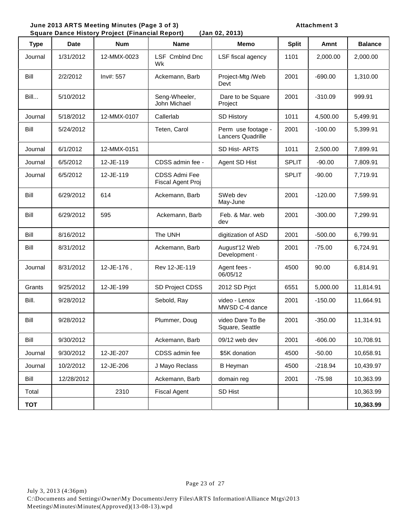June 2013 ARTS Meeting Minutes (Page 3 of 3) **Attachment 3**<br>
Square Dance History Project (Financial Report) (Jan 02, 2013)

| <b>Square Dance History Project (Financial Report)</b><br>(Jan 02, 2013) |             |             |                                           |                                         |              |           |                |  |  |
|--------------------------------------------------------------------------|-------------|-------------|-------------------------------------------|-----------------------------------------|--------------|-----------|----------------|--|--|
| <b>Type</b>                                                              | <b>Date</b> | <b>Num</b>  | <b>Name</b>                               | <b>Memo</b>                             | <b>Split</b> | Amnt      | <b>Balance</b> |  |  |
| Journal                                                                  | 1/31/2012   | 12-MMX-0023 | LSF Cmblnd Dnc<br>Wk                      | LSF fiscal agency                       | 1101         | 2,000.00  | 2,000.00       |  |  |
| Bill                                                                     | 2/2/2012    | Inv#: 557   | Ackemann, Barb                            | Project-Mtg /Web<br>Devt                | 2001         | $-690.00$ | 1,310.00       |  |  |
| Bill                                                                     | 5/10/2012   |             | Seng-Wheeler,<br>John Michael             | Dare to be Square<br>Project            | 2001         | $-310.09$ | 999.91         |  |  |
| Journal                                                                  | 5/18/2012   | 12-MMX-0107 | Callerlab                                 | <b>SD History</b>                       | 1011         | 4,500.00  | 5,499.91       |  |  |
| Bill                                                                     | 5/24/2012   |             | Teten, Carol                              | Perm use footage -<br>Lancers Quadrille | 2001         | $-100.00$ | 5,399.91       |  |  |
| Journal                                                                  | 6/1/2012    | 12-MMX-0151 |                                           | SD Hist-ARTS                            | 1011         | 2,500.00  | 7,899.91       |  |  |
| Journal                                                                  | 6/5/2012    | 12-JE-119   | CDSS admin fee -                          | Agent SD Hist                           | <b>SPLIT</b> | $-90.00$  | 7,809.91       |  |  |
| Journal                                                                  | 6/5/2012    | 12-JE-119   | <b>CDSS Admi Fee</b><br>Fiscal Agent Proj |                                         | <b>SPLIT</b> | $-90.00$  | 7,719.91       |  |  |
| Bill                                                                     | 6/29/2012   | 614         | Ackemann, Barb                            | SWeb dev<br>May-June                    | 2001         | $-120.00$ | 7,599.91       |  |  |
| Bill                                                                     | 6/29/2012   | 595         | Ackemann, Barb                            | Feb. & Mar. web<br>dev                  | 2001         | $-300.00$ | 7,299.91       |  |  |
| Bill                                                                     | 8/16/2012   |             | The UNH                                   | digitization of ASD                     | 2001         | $-500.00$ | 6,799.91       |  |  |
| Bill                                                                     | 8/31/2012   |             | Ackemann, Barb                            | August'12 Web<br>Development ·          | 2001         | $-75.00$  | 6,724.91       |  |  |
| Journal                                                                  | 8/31/2012   | 12-JE-176,  | Rev 12-JE-119                             | Agent fees -<br>06/05/12                | 4500         | 90.00     | 6,814.91       |  |  |
| Grants                                                                   | 9/25/2012   | 12-JE-199   | SD Project CDSS                           | 2012 SD Prict                           | 6551         | 5,000.00  | 11,814.91      |  |  |
| Bill.                                                                    | 9/28/2012   |             | Sebold, Ray                               | video - Lenox<br>MWSD C-4 dance         | 2001         | $-150.00$ | 11,664.91      |  |  |
| Bill                                                                     | 9/28/2012   |             | Plummer, Doug                             | video Dare To Be<br>Square, Seattle     | 2001         | $-350.00$ | 11,314.91      |  |  |
| Bill                                                                     | 9/30/2012   |             | Ackemann, Barb                            | 09/12 web dev                           | 2001         | $-606.00$ | 10,708.91      |  |  |
| Journal                                                                  | 9/30/2012   | 12-JE-207   | CDSS admin fee                            | \$5K donation                           | 4500         | $-50.00$  | 10,658.91      |  |  |
| Journal                                                                  | 10/2/2012   | 12-JE-206   | J Mayo Reclass                            | <b>B</b> Heyman                         | 4500         | $-218.94$ | 10,439.97      |  |  |
| Bill                                                                     | 12/28/2012  |             | Ackemann, Barb                            | domain reg                              | 2001         | $-75.98$  | 10,363.99      |  |  |
| Total                                                                    |             | 2310        | <b>Fiscal Agent</b>                       | SD Hist                                 |              |           | 10,363.99      |  |  |
| <b>TOT</b>                                                               |             |             |                                           |                                         |              |           | 10,363.99      |  |  |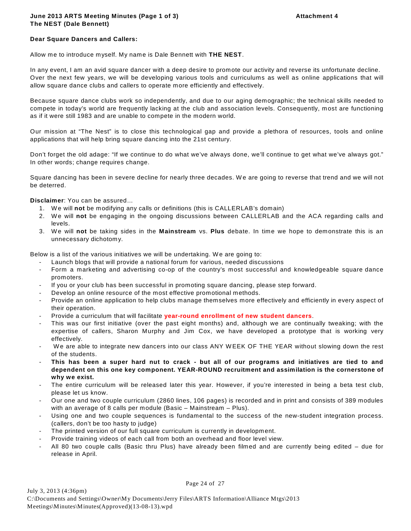### **June 2013 ARTS Meeting Minutes (Page 1 of 3) Attachment 4 The NEST (Dale Bennett)**

#### **Dear Square Dancers and Callers:**

Allow me to introduce myself. My name is Dale Bennett with THE NEST.

In any event, I am an avid square dancer with a deep desire to promote our activity and reverse its unfortunate decline. Over the next few years, we will be developing various tools and curriculums as well as online applications that will allow square dance clubs and callers to operate more efficiently and effectively.

Because square dance clubs work so independently, and due to our aging demographic; the technical skills needed to compete in today's world are frequently lacking at the club and association levels. Consequently, most are functioning as if it were still 1983 and are unable to compete in the modern world.

Our mission at "The Nest" is to close this technological gap and provide a plethora of resources, tools and online applications that will help bring square dancing into the 21st century.

Don't forget the old adage: "If we continue to do what we've always done, we'll continue to get what we've always got." In other words; change requires change.

Square dancing has been in severe decline for nearly three decades. W e are going to reverse that trend and we will not be deterred.

**Disclaimer**: You can be assured…

- 1. W e will **not** be modifying any calls or definitions (this is CALLERLAB's domain)
- 2. W e will **not** be engaging in the ongoing discussions between CALLERLAB and the ACA regarding calls and levels.
- 3. W e will **not** be taking sides in the **Mainstream** vs. **Plus** debate. In time we hope to demonstrate this is an unnecessary dichotomy.

Below is a list of the various initiatives we will be undertaking. W e are going to:

- Launch blogs that will provide a national forum for various, needed discussions
- Form a marketing and advertising co-op of the country's most successful and knowledgeable square dance promoters.
- If you or your club has been successful in promoting square dancing, please step forward.
- Develop an online resource of the most effective promotional methods.
- Provide an online application to help clubs manage themselves more effectively and efficiently in every aspect of their operation.
- Provide a curriculum that will facilitate **year-round enrollment of new student dancers**.
- This was our first initiative (over the past eight months) and, although we are continually tweaking; with the expertise of callers, Sharon Murphy and Jim Cox, we have developed a prototype that is working very effectively.
- We are able to integrate new dancers into our class ANY WEEK OF THE YEAR without slowing down the rest of the students.
- **This has been a super hard nut to crack but all of our programs and initiatives are tied to and dependent on this one key component. YEAR-ROUND recruitment and assimilation is the cornerstone of why we exist.**
- The entire curriculum will be released later this year. However, if you're interested in being a beta test club, please let us know.
- Our one and two couple curriculum (2860 lines, 106 pages) is recorded and in print and consists of 389 modules with an average of 8 calls per module (Basic – Mainstream – Plus).
- Using one and two couple sequences is fundamental to the success of the new-student integration process. (callers, don't be too hasty to judge)
- The printed version of our full square curriculum is currently in development.
- Provide training videos of each call from both an overhead and floor level view.
- All 80 two couple calls (Basic thru Plus) have already been filmed and are currently being edited due for release in April.

Page 24 of 27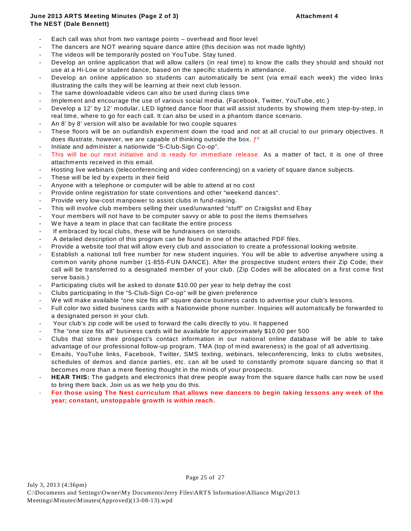### **June 2013 ARTS Meeting Minutes (Page 2 of 3) Attachment 4 The NEST (Dale Bennett)**

- Each call was shot from two vantage points overhead and floor level
- The dancers are NOT wearing square dance attire (this decision was not made lightly)
- The videos will be temporarily posted on YouTube. Stay tuned.
- Develop an online application that will allow callers (in real time) to know the calls they should and should not use at a Hi-Low or student dance, based on the specific students in attendance.
- Develop an online application so students can automatically be sent (via email each week) the video links illustrating the calls they will be learning at their next club lesson.
- The same downloadable videos can also be used during class time
- Implement and encourage the use of various social media. (Facebook, Twitter, YouTube, etc.)
- Develop a 12' by 12' modular, LED lighted dance floor that will assist students by showing them step-by-step, in real time, where to go for each call. It can also be used in a phantom dance scenario.
- An 8' by 8' version will also be available for two couple squares
- These floors will be an outlandish experiment down the road and not at all crucial to our primary objectives. It does illustrate, however, we are capable of thinking outside the box.  $f^{\circ}$
- Initiate and administer a nationwide "5-Club-Sign Co-op".
- This will be our next initiative and is ready for immediate release. As a matter of fact, it is one of three attachments received in this email.
- Hosting live webinars (teleconferencing and video conferencing) on a variety of square dance subjects.
- These will be led by experts in their field
- Anyone with a telephone or computer will be able to attend at no cost
- Provide online registration for state conventions and other "weekend dances".
- Provide very low-cost manpower to assist clubs in fund-raising.
- This will involve club members selling their used/unwanted "stuff" on Craigslist and Ebay
- Your members will not have to be computer savvy or able to post the items themselves
- We have a team in place that can facilitate the entire process
- If embraced by local clubs, these will be fundraisers on steroids.
- A detailed description of this program can be found in one of the attached PDF files.
- Provide a website tool that will allow every club and association to create a professional looking website.
- Establish a national toll free number for new student inquiries. You will be able to advertise anywhere using a common vanity phone number (1-855-FUN DANCE). After the prospective student enters their Zip Code; their call will be transferred to a designated member of your club. (Zip Codes will be allocated on a first come first serve basis.)
- Participating clubs will be asked to donate \$10.00 per year to help defray the cost
- Clubs participating in the "5-Club-Sign Co-op" will be given preference
- We will make available "one size fits all" square dance business cards to advertise your club's lessons.
- Full color two sided business cards with a Nationwide phone number. Inquiries will automatically be forwarded to a designated person in your club.
- Your club's zip code will be used to forward the calls directly to you. It happened
- The "one size fits all" business cards will be available for approximately \$10.00 per 500
- Clubs that store their prospect's contact information in our national online database will be able to take advantage of our professional follow-up program. TMA (top of mind awareness) is the goal of all advertising.
- Emails, YouTube links, Facebook, Twitter, SMS texting, webinars, teleconferencing, links to clubs websites, schedules of demos and dance parties, etc. can all be used to constantly promote square dancing so that it becomes more than a mere fleeting thought in the minds of your prospects.
- HEAR THIS: The gadgets and electronics that drew people away from the square dance halls can now be used to bring them back. Join us as we help you do this.
- **For those using The Nest curriculum that allows new dancers to begin taking lessons any week of the year; constant, unstoppable growth is within reach.**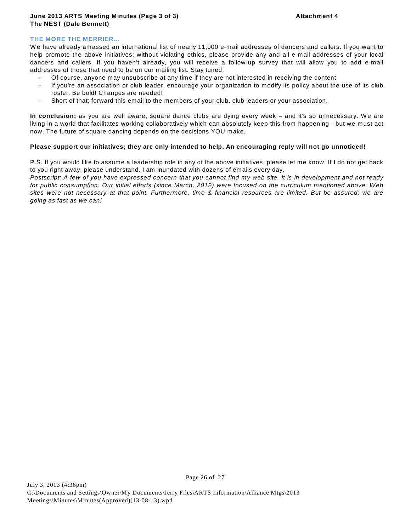### **THE MORE THE MERRIER…**

W e have already amassed an international list of nearly 11,000 e-mail addresses of dancers and callers. If you want to help promote the above initiatives; without violating ethics, please provide any and all e-mail addresses of your local dancers and callers. If you haven't already, you will receive a follow-up survey that will allow you to add e-mail addresses of those that need to be on our mailing list. Stay tuned.

- Of course, anyone may unsubscribe at any time if they are not interested in receiving the content.
- If you're an association or club leader, encourage your organization to modify its policy about the use of its club roster. Be bold! Changes are needed!
- Short of that; forward this email to the members of your club, club leaders or your association.

In conclusion; as you are well aware, square dance clubs are dying every week – and it's so unnecessary. We are living in a world that facilitates working collaboratively which can absolutely keep this from happening - but we must act now. The future of square dancing depends on the decisions YOU make.

#### **Please support our initiatives; they are only intended to help. An encouraging reply will not go unnoticed!**

P.S. If you would like to assume a leadership role in any of the above initiatives, please let me know. If I do not get back to you right away, please understand. I am inundated with dozens of emails every day.

*Postscript: A few of you have expressed concern that you cannot find my web site. It is in development and not ready for public consumption. Our initial efforts (since March, 2012) were focused on the curriculum mentioned above. Web sites were not necessary at that point. Furthermore, time & financial resources are limited. But be assured; we are going as fast as we can!* 

Page 26 of 27